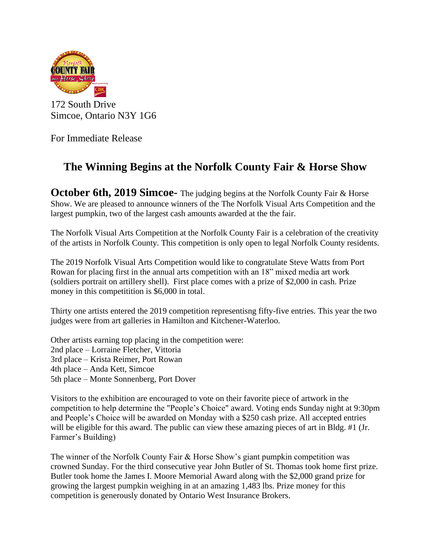

172 South Drive Simcoe, Ontario N3Y 1G6

For Immediate Release

## **The Winning Begins at the Norfolk County Fair & Horse Show**

**October 6th, 2019 Simcoe-** The judging begins at the Norfolk County Fair & Horse Show. We are pleased to announce winners of the The Norfolk Visual Arts Competition and the largest pumpkin, two of the largest cash amounts awarded at the the fair.

The Norfolk Visual Arts Competition at the Norfolk County Fair is a celebration of the creativity of the artists in Norfolk County. This competition is only open to legal Norfolk County residents.

The 2019 Norfolk Visual Arts Competition would like to congratulate Steve Watts from Port Rowan for placing first in the annual arts competition with an 18" mixed media art work (soldiers portrait on artillery shell). First place comes with a prize of \$2,000 in cash. Prize money in this competitition is \$6,000 in total.

Thirty one artists entered the 2019 competition representisng fifty-five entries. This year the two judges were from art galleries in Hamilton and Kitchener-Waterloo.

Other artists earning top placing in the competition were: 2nd place – Lorraine Fletcher, Vittoria 3rd place – Krista Reimer, Port Rowan 4th place – Anda Kett, Simcoe 5th place – Monte Sonnenberg, Port Dover

Visitors to the exhibition are encouraged to vote on their favorite piece of artwork in the competition to help determine the "People's Choice" award. Voting ends Sunday night at 9:30pm and People's Choice will be awarded on Monday with a \$250 cash prize. All accepted entries will be eligible for this award. The public can view these amazing pieces of art in Bldg. #1 (Jr. Farmer's Building)

The winner of the Norfolk County Fair & Horse Show's giant pumpkin competition was crowned Sunday. For the third consecutive year John Butler of St. Thomas took home first prize. Butler took home the James I. Moore Memorial Award along with the \$2,000 grand prize for growing the largest pumpkin weighing in at an amazing 1,483 lbs. Prize money for this competition is generously donated by Ontario West Insurance Brokers.